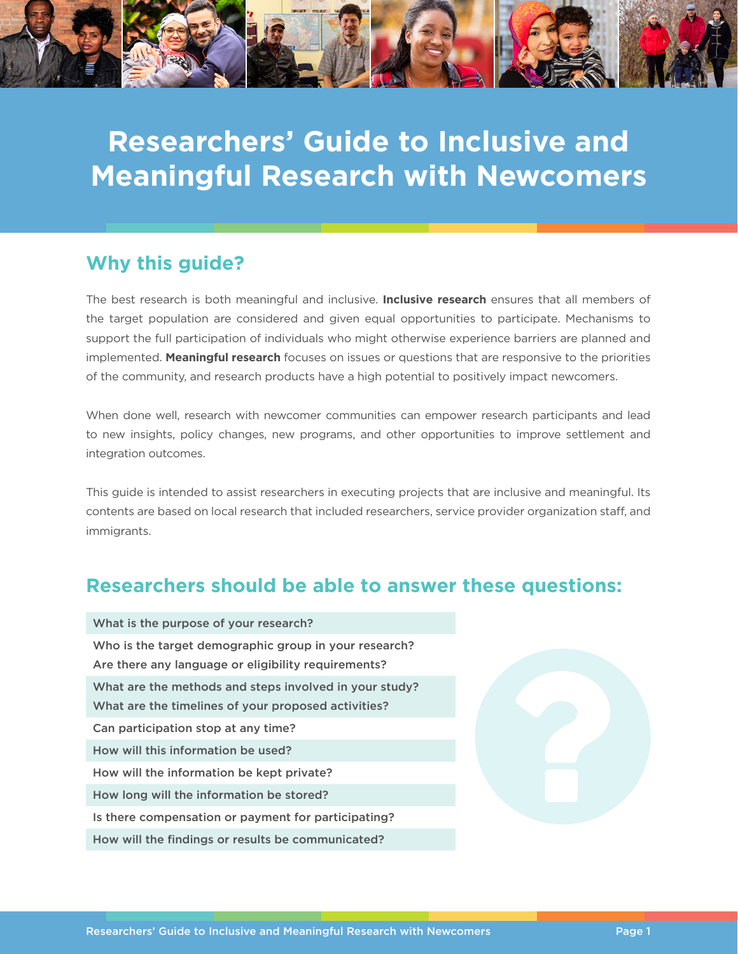

# **Researchers' Guide to Inclusive and Meaningful Research with Newcomers**

### **Why this guide?**

The best research is both meaningful and inclusive. **Inclusive research** ensures that all members of the target population are considered and given equal opportunities to participate. Mechanisms to support the full participation of individuals who might otherwise experience barriers are planned and implemented. **Meaningful research** focuses on issues or questions that are responsive to the priorities of the community, and research products have a high potential to positively impact newcomers.

When done well, research with newcomer communities can empower research participants and lead to new insights, policy changes, new programs, and other opportunities to improve settlement and integration outcomes.

This guide is intended to assist researchers in executing projects that are inclusive and meaningful. Its contents are based on local research that included researchers, service provider organization staff, and immigrants.

### **Researchers should be able to answer these questions:**

| What is the purpose of your research?                  |
|--------------------------------------------------------|
| Who is the target demographic group in your research?  |
| Are there any language or eligibility requirements?    |
| What are the methods and steps involved in your study? |
| What are the timelines of your proposed activities?    |
| Can participation stop at any time?                    |
| How will this information be used?                     |
| How will the information be kept private?              |
| How long will the information be stored?               |
| Is there compensation or payment for participating?    |
| How will the findings or results be communicated?      |
|                                                        |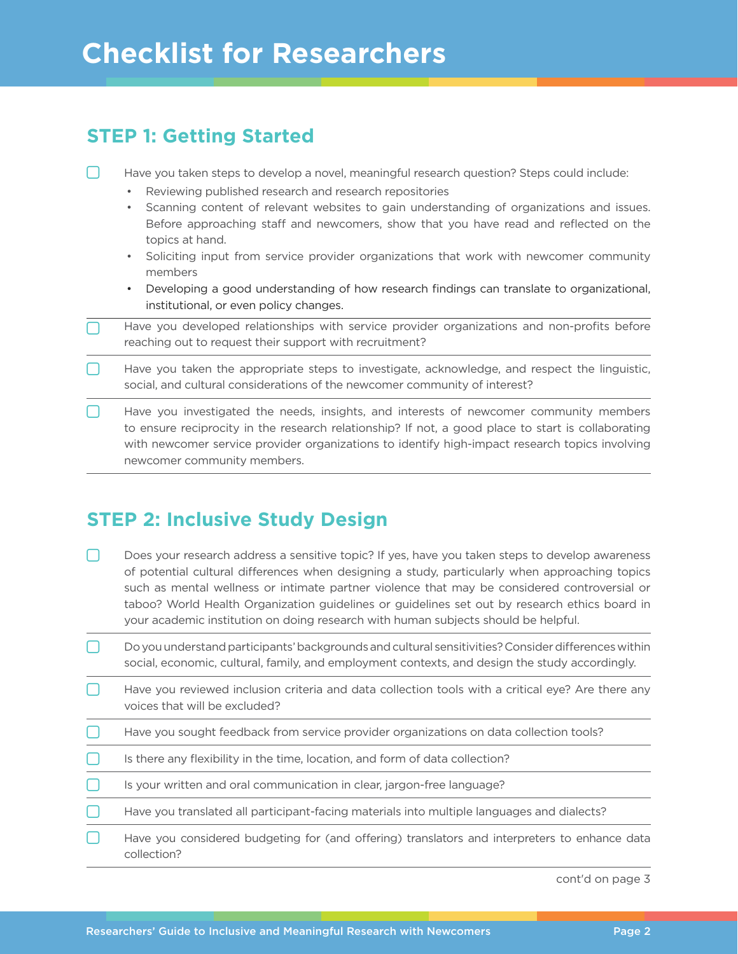## **Checklist for Researchers**

| <b>STEP 1: Getting Started</b> |                                                                                                                                                                                                                                                                                                                                                                                                                                                                                                                                                                                                                                                              |
|--------------------------------|--------------------------------------------------------------------------------------------------------------------------------------------------------------------------------------------------------------------------------------------------------------------------------------------------------------------------------------------------------------------------------------------------------------------------------------------------------------------------------------------------------------------------------------------------------------------------------------------------------------------------------------------------------------|
|                                | Have you taken steps to develop a novel, meaningful research question? Steps could include:<br>Reviewing published research and research repositories<br>$\bullet$<br>Scanning content of relevant websites to gain understanding of organizations and issues.<br>$\bullet$<br>Before approaching staff and newcomers, show that you have read and reflected on the<br>topics at hand.<br>Soliciting input from service provider organizations that work with newcomer community<br>$\bullet$<br>members<br>Developing a good understanding of how research findings can translate to organizational,<br>$\bullet$<br>institutional, or even policy changes. |
|                                | Have you developed relationships with service provider organizations and non-profits before<br>reaching out to request their support with recruitment?                                                                                                                                                                                                                                                                                                                                                                                                                                                                                                       |
|                                | Have you taken the appropriate steps to investigate, acknowledge, and respect the linguistic,<br>social, and cultural considerations of the newcomer community of interest?                                                                                                                                                                                                                                                                                                                                                                                                                                                                                  |
|                                | Have you investigated the needs, insights, and interests of newcomer community members<br>to ensure reciprocity in the research relationship? If not, a good place to start is collaborating<br>with newcomer service provider organizations to identify high-impact research topics involving<br>newcomer community members.                                                                                                                                                                                                                                                                                                                                |

## **STEP 2: Inclusive Study Design**

- Does your research address a sensitive topic? If yes, have you taken steps to develop awareness of potential cultural differences when designing a study, particularly when approaching topics such as mental wellness or intimate partner violence that may be considered controversial or taboo? World Health Organization guidelines or guidelines set out by research ethics board in your academic institution on doing research with human subjects should be helpful.
- Do you understand participants' backgrounds and cultural sensitivities? Consider differences within social, economic, cultural, family, and employment contexts, and design the study accordingly.
- Have you reviewed inclusion criteria and data collection tools with a critical eye? Are there any voices that will be excluded?
- Have you sought feedback from service provider organizations on data collection tools?
- Is there any flexibility in the time, location, and form of data collection?
- Is your written and oral communication in clear, jargon-free language?
- Have you translated all participant-facing materials into multiple languages and dialects?
- Have you considered budgeting for (and offering) translators and interpreters to enhance data collection?

cont'd on page 3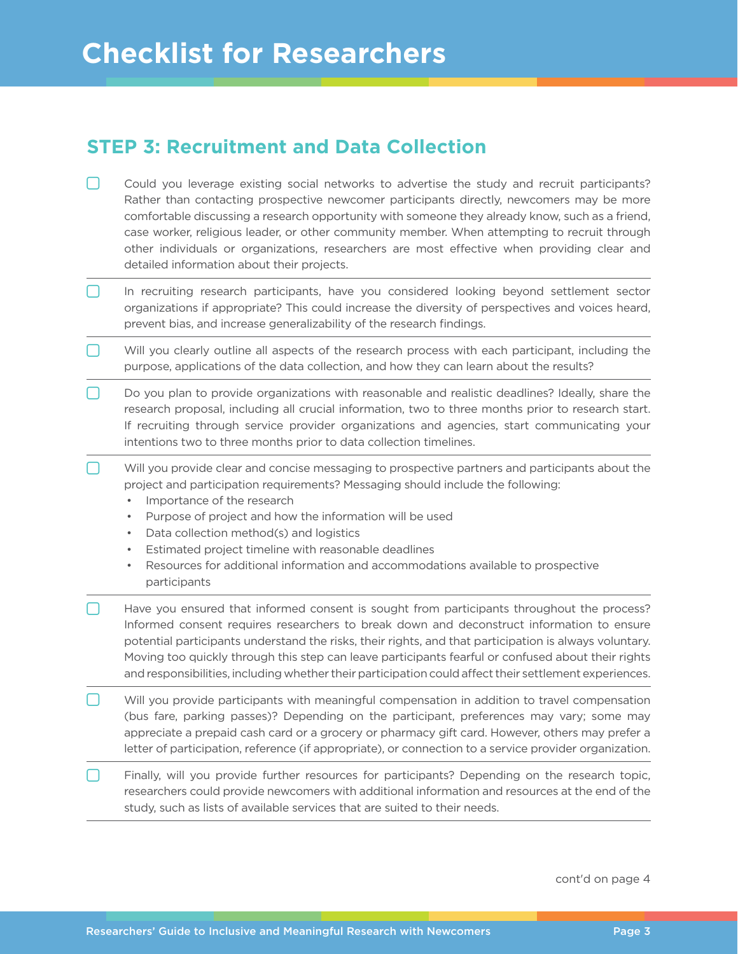#### **STEP 3: Recruitment and Data Collection**

- Could you leverage existing social networks to advertise the study and recruit participants? Rather than contacting prospective newcomer participants directly, newcomers may be more comfortable discussing a research opportunity with someone they already know, such as a friend, case worker, religious leader, or other community member. When attempting to recruit through other individuals or organizations, researchers are most effective when providing clear and detailed information about their projects.
- In recruiting research participants, have you considered looking beyond settlement sector organizations if appropriate? This could increase the diversity of perspectives and voices heard, prevent bias, and increase generalizability of the research findings.
- Will you clearly outline all aspects of the research process with each participant, including the purpose, applications of the data collection, and how they can learn about the results?
- Do you plan to provide organizations with reasonable and realistic deadlines? Ideally, share the research proposal, including all crucial information, two to three months prior to research start. If recruiting through service provider organizations and agencies, start communicating your intentions two to three months prior to data collection timelines.
- $\Box$  Will you provide clear and concise messaging to prospective partners and participants about the project and participation requirements? Messaging should include the following:
	- Importance of the research
	- Purpose of project and how the information will be used
	- Data collection method(s) and logistics
	- Estimated project timeline with reasonable deadlines
	- Resources for additional information and accommodations available to prospective participants
- Have you ensured that informed consent is sought from participants throughout the process? Informed consent requires researchers to break down and deconstruct information to ensure potential participants understand the risks, their rights, and that participation is always voluntary. Moving too quickly through this step can leave participants fearful or confused about their rights and responsibilities, including whether their participation could affect their settlement experiences.
- Will you provide participants with meaningful compensation in addition to travel compensation (bus fare, parking passes)? Depending on the participant, preferences may vary; some may appreciate a prepaid cash card or a grocery or pharmacy gift card. However, others may prefer a letter of participation, reference (if appropriate), or connection to a service provider organization.
- Finally, will you provide further resources for participants? Depending on the research topic, researchers could provide newcomers with additional information and resources at the end of the study, such as lists of available services that are suited to their needs.

cont'd on page 4